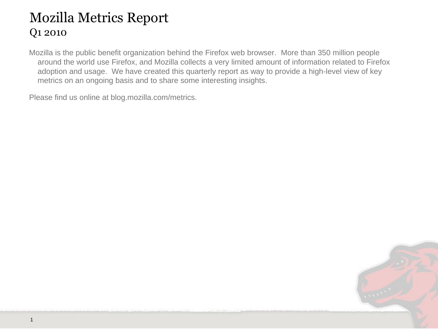Mozilla is the public benefit organization behind the Firefox web browser. More than 350 million people around the world use Firefox, and Mozilla collects a very limited amount of information related to Firefox adoption and usage. We have created this quarterly report as way to provide a high-level view of key metrics on an ongoing basis and to share some interesting insights.

Please find us online at blog.mozilla.com/metrics.

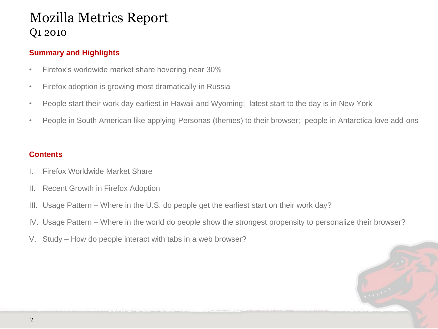## **Summary and Highlights**

- Firefox's worldwide market share hovering near 30%
- Firefox adoption is growing most dramatically in Russia
- People start their work day earliest in Hawaii and Wyoming; latest start to the day is in New York
- People in South American like applying Personas (themes) to their browser; people in Antarctica love add-ons

#### **Contents**

- **Firefox Worldwide Market Share**
- II. Recent Growth in Firefox Adoption
- III. Usage Pattern Where in the U.S. do people get the earliest start on their work day?
- IV. Usage Pattern Where in the world do people show the strongest propensity to personalize their browser?
- V. Study How do people interact with tabs in a web browser?

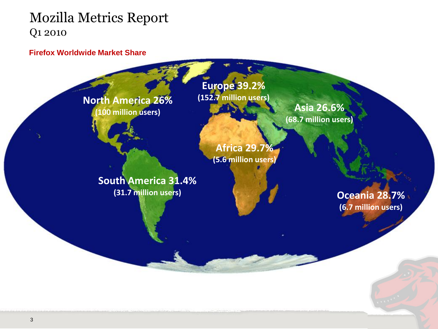#### **Firefox Worldwide Market Share**

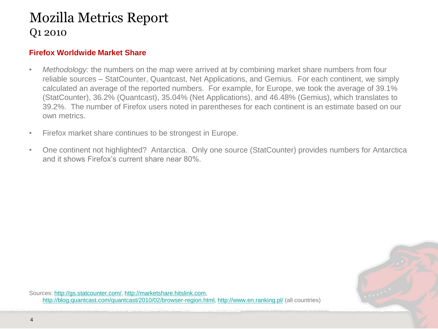### **Firefox Worldwide Market Share**

- *Methodology:* the numbers on the map were arrived at by combining market share numbers from four reliable sources – StatCounter, Quantcast, Net Applications, and Gemius. For each continent, we simply calculated an average of the reported numbers. For example, for Europe, we took the average of 39.1% (StatCounter), 36.2% (Quantcast), 35.04% (Net Applications), and 46.48% (Gemius), which translates to 39.2%. The number of Firefox users noted in parentheses for each continent is an estimate based on our own metrics.
- Firefox market share continues to be strongest in Europe.
- One continent not highlighted? Antarctica. Only one source (StatCounter) provides numbers for Antarctica and it shows Firefox's current share near 80%.



Sources:<http://gs.statcounter.com/>, [http://marketshare.hitslink.com](http://marketshare.hitslink.com/), [http://blog.quantcast.com/quantcast/2010/02/browser-region.html,](http://blog.quantcast.com/quantcast/2010/02/browser-region.html)<http://www.en.ranking.pl/> (all countries)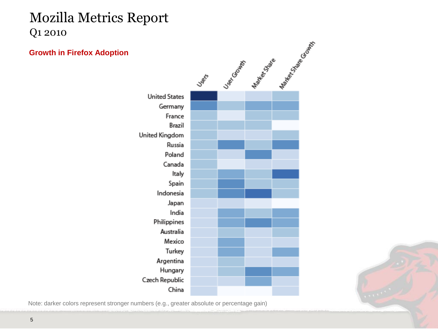



Note: darker colors represent stronger numbers (e.g., greater absolute or percentage gain)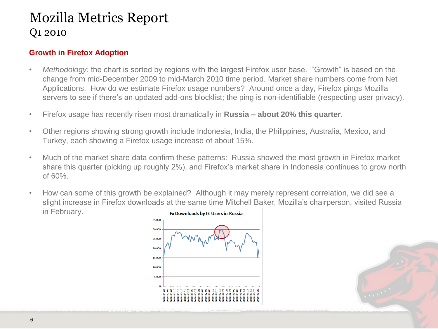## **Growth in Firefox Adoption**

- *Methodology:* the chart is sorted by regions with the largest Firefox user base. "Growth" is based on the change from mid-December 2009 to mid-March 2010 time period. Market share numbers come from Net Applications. How do we estimate Firefox usage numbers? Around once a day, Firefox pings Mozilla servers to see if there's an updated add-ons blocklist; the ping is non-identifiable (respecting user privacy).
- Firefox usage has recently risen most dramatically in **Russia – about 20% this quarter**.
- Other regions showing strong growth include Indonesia, India, the Philippines, Australia, Mexico, and Turkey, each showing a Firefox usage increase of about 15%.
- Much of the market share data confirm these patterns: Russia showed the most growth in Firefox market share this quarter (picking up roughly 2%), and Firefox's market share in Indonesia continues to grow north of 60%.
- How can some of this growth be explained? Although it may merely represent correlation, we did see a slight increase in Firefox downloads at the same time Mitchell Baker, Mozilla's chairperson, visited Russia in February.Fx Downloads by IE Users in Russia



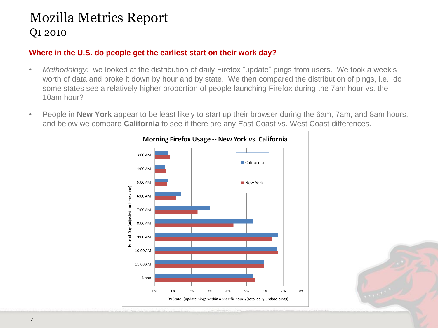### **Where in the U.S. do people get the earliest start on their work day?**

- *Methodology:* we looked at the distribution of daily Firefox "update" pings from users. We took a week's worth of data and broke it down by hour and by state. We then compared the distribution of pings, i.e., do some states see a relatively higher proportion of people launching Firefox during the 7am hour vs. the 10am hour?
- People in **New York** appear to be least likely to start up their browser during the 6am, 7am, and 8am hours, and below we compare **California** to see if there are any East Coast vs. West Coast differences.



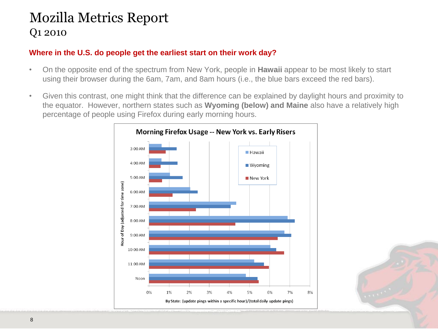## **Where in the U.S. do people get the earliest start on their work day?**

- On the opposite end of the spectrum from New York, people in **Hawaii** appear to be most likely to start using their browser during the 6am, 7am, and 8am hours (i.e., the blue bars exceed the red bars).
- Given this contrast, one might think that the difference can be explained by daylight hours and proximity to the equator. However, northern states such as **Wyoming (below) and Maine** also have a relatively high percentage of people using Firefox during early morning hours.

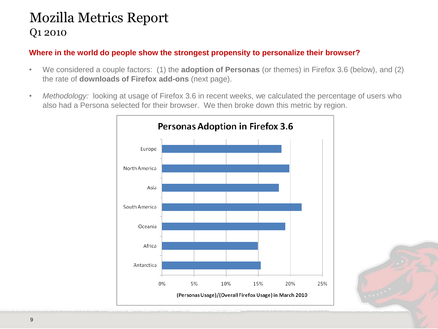#### Q1 2010 **Where in the world do people show the strongest propensity to personalize their browser?**

- We considered a couple factors: (1) the **adoption of Personas** (or themes) in Firefox 3.6 (below), and (2) the rate of **downloads of Firefox add-ons** (next page).
- *Methodology:* looking at usage of Firefox 3.6 in recent weeks, we calculated the percentage of users who also had a Persona selected for their browser. We then broke down this metric by region.

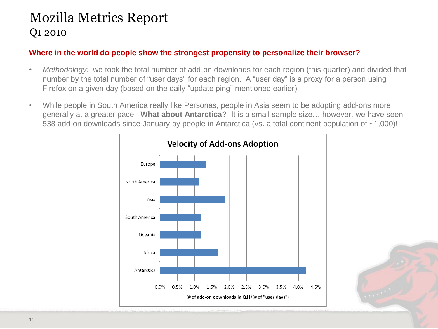#### Q1 2010 **Where in the world do people show the strongest propensity to personalize their browser?**

- *Methodology:* we took the total number of add-on downloads for each region (this quarter) and divided that number by the total number of "user days" for each region. A "user day" is a proxy for a person using Firefox on a given day (based on the daily "update ping" mentioned earlier).
- While people in South America really like Personas, people in Asia seem to be adopting add-ons more generally at a greater pace. **What about Antarctica?** It is a small sample size… however, we have seen 538 add-on downloads since January by people in Antarctica (vs. a total continent population of ~1,000)!



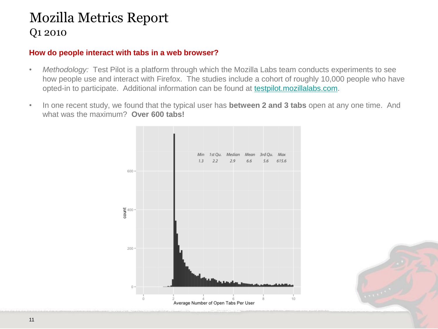#### **How do people interact with tabs in a web browser?**

- *Methodology:* Test Pilot is a platform through which the Mozilla Labs team conducts experiments to see how people use and interact with Firefox. The studies include a cohort of roughly 10,000 people who have opted-in to participate. Additional information can be found at<testpilot.mozillalabs.com>.
- In one recent study, we found that the typical user has **between 2 and 3 tabs** open at any one time. And what was the maximum? **Over 600 tabs!**